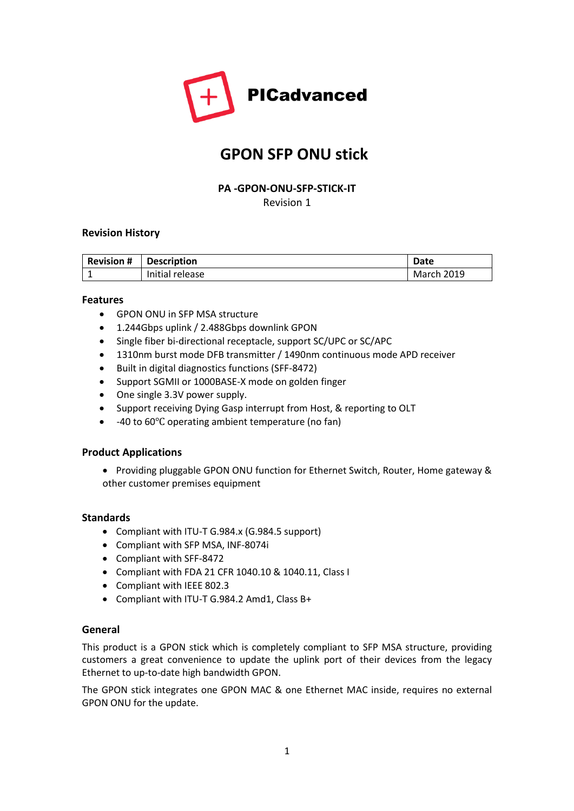

# **GPON SFP ONU stick**

## **PA -GPON-ONU-SFP-STICK-IT** Revision 1

### **Revision History**

| <b>Revision #</b> | <b>Description</b> | Date       |
|-------------------|--------------------|------------|
|                   | Initial release    | March 2019 |

### **Features**

- GPON ONU in SFP MSA structure
- 1.244Gbps uplink / 2.488Gbps downlink GPON
- Single fiber bi-directional receptacle, support SC/UPC or SC/APC
- 1310nm burst mode DFB transmitter / 1490nm continuous mode APD receiver
- Built in digital diagnostics functions (SFF-8472)
- Support SGMII or 1000BASE-X mode on golden finger
- One single 3.3V power supply.
- Support receiving Dying Gasp interrupt from Host, & reporting to OLT
- -40 to 60℃ operating ambient temperature (no fan)

#### **Product Applications**

• Providing pluggable GPON ONU function for Ethernet Switch, Router, Home gateway & other customer premises equipment

#### **Standards**

- Compliant with ITU-T G.984.x (G.984.5 support)
- Compliant with SFP MSA, INF-8074i
- Compliant with SFF-8472
- Compliant with FDA 21 CFR 1040.10 & 1040.11, Class I
- Compliant with IEEE 802.3
- Compliant with ITU-T G.984.2 Amd1, Class B+

### **General**

This product is a GPON stick which is completely compliant to SFP MSA structure, providing customers a great convenience to update the uplink port of their devices from the legacy Ethernet to up-to-date high bandwidth GPON.

The GPON stick integrates one GPON MAC & one Ethernet MAC inside, requires no external GPON ONU for the update.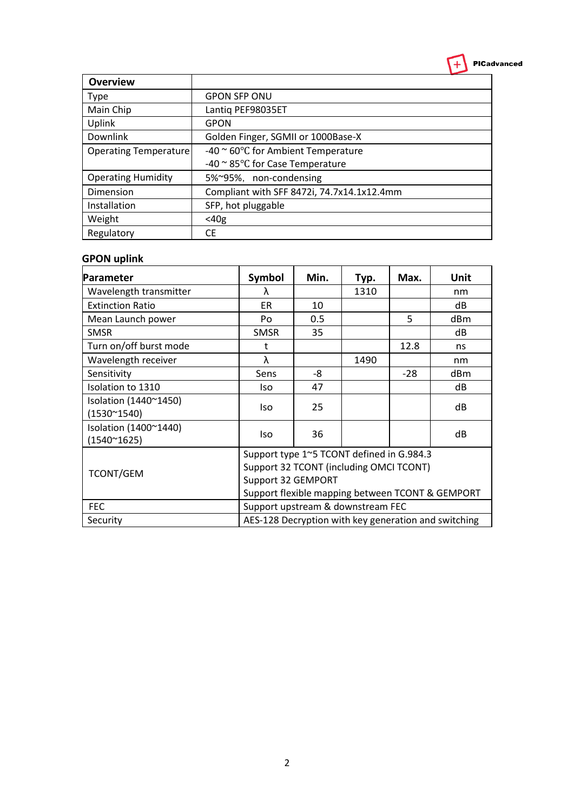

| <b>Overview</b>              |                                                      |
|------------------------------|------------------------------------------------------|
| <b>Type</b>                  | <b>GPON SFP ONU</b>                                  |
| Main Chip                    | Lantiq PEF98035ET                                    |
| Uplink                       | <b>GPON</b>                                          |
| Downlink                     | Golden Finger, SGMII or 1000Base-X                   |
| <b>Operating Temperature</b> | -40 $\approx$ 60 $\degree$ C for Ambient Temperature |
|                              | -40 $\approx$ 85 $\degree$ C for Case Temperature    |
| <b>Operating Humidity</b>    | 5%~95%, non-condensing                               |
| Dimension                    | Compliant with SFF 8472i, 74.7x14.1x12.4mm           |
| Installation                 | SFP, hot pluggable                                   |
| Weight                       | $<$ 40g                                              |
| Regulatory                   | СE                                                   |

## **GPON uplink**

| Parameter                                 | <b>Symbol</b>                                        | Min. | Typ. | Max.  | Unit |
|-------------------------------------------|------------------------------------------------------|------|------|-------|------|
| Wavelength transmitter                    | λ                                                    |      | 1310 |       | nm   |
| <b>Extinction Ratio</b>                   | <b>ER</b>                                            | 10   |      |       | dB   |
| Mean Launch power                         | Po                                                   | 0.5  |      | 5     | dBm  |
| <b>SMSR</b>                               | <b>SMSR</b>                                          | 35   |      |       | dB   |
| Turn on/off burst mode                    | t                                                    |      |      | 12.8  | ns   |
| Wavelength receiver                       | λ                                                    |      | 1490 |       | nm   |
| Sensitivity                               | Sens                                                 | -8   |      | $-28$ | dBm  |
| Isolation to 1310                         | lso                                                  | 47   |      |       | dB   |
| Isolation (1440~1450)                     | lso                                                  | 25   |      |       | dB   |
| $(1530^{\circ}1540)$                      |                                                      |      |      |       |      |
| Isolation (1400~1440)                     | lso                                                  | 36   |      |       | dB   |
| $(1540^{\circ}1625)$                      |                                                      |      |      |       |      |
| Support type 1~5 TCONT defined in G.984.3 |                                                      |      |      |       |      |
| <b>TCONT/GEM</b>                          | Support 32 TCONT (including OMCI TCONT)              |      |      |       |      |
|                                           | Support 32 GEMPORT                                   |      |      |       |      |
|                                           | Support flexible mapping between TCONT & GEMPORT     |      |      |       |      |
| <b>FEC</b>                                | Support upstream & downstream FEC                    |      |      |       |      |
| Security                                  | AES-128 Decryption with key generation and switching |      |      |       |      |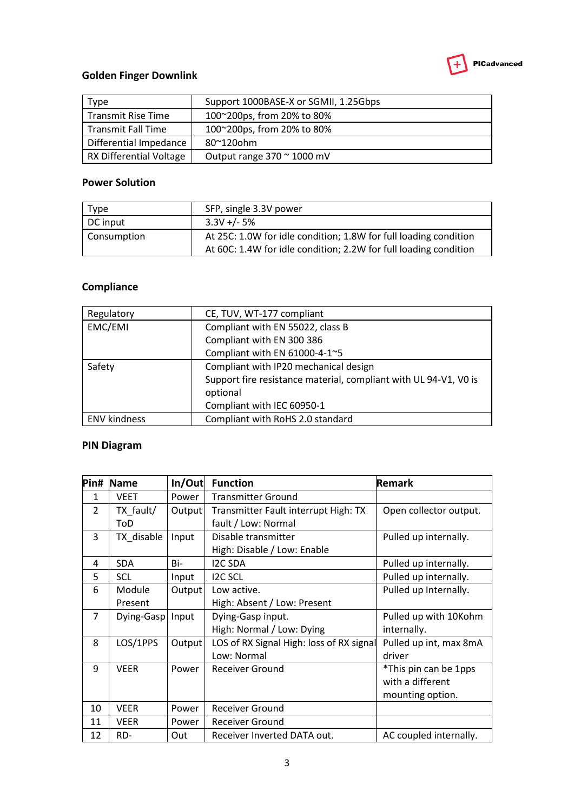

## **Golden Finger Downlink**

| Type                           | Support 1000BASE-X or SGMII, 1.25Gbps |
|--------------------------------|---------------------------------------|
| Transmit Rise Time             | 100~200ps, from 20% to 80%            |
| <b>Transmit Fall Time</b>      | 100~200ps, from 20% to 80%            |
| Differential Impedance         | $80^{\circ}120$ ohm                   |
| <b>RX Differential Voltage</b> | Output range $370 \approx 1000$ mV    |

## **Power Solution**

| Type        | SFP, single 3.3V power                                                                                                               |
|-------------|--------------------------------------------------------------------------------------------------------------------------------------|
| DC input    | $3.3V +/- 5%$                                                                                                                        |
| Consumption | At 25C: 1.0W for idle condition; 1.8W for full loading condition<br>At 60C: 1.4W for idle condition; 2.2W for full loading condition |

## **Compliance**

| Regulatory          | CE, TUV, WT-177 compliant                                        |  |  |
|---------------------|------------------------------------------------------------------|--|--|
| EMC/EMI             | Compliant with EN 55022, class B                                 |  |  |
|                     | Compliant with EN 300 386                                        |  |  |
|                     | Compliant with EN 61000-4-1~5                                    |  |  |
| Safety              | Compliant with IP20 mechanical design                            |  |  |
|                     | Support fire resistance material, compliant with UL 94-V1, V0 is |  |  |
|                     | optional                                                         |  |  |
|                     | Compliant with IEC 60950-1                                       |  |  |
| <b>ENV kindness</b> | Compliant with RoHS 2.0 standard                                 |  |  |

# **PIN Diagram**

| Pin#          | <b>Name</b> | In/Out | <b>Function</b>                          | Remark                 |
|---------------|-------------|--------|------------------------------------------|------------------------|
| 1             | <b>VEET</b> | Power  | <b>Transmitter Ground</b>                |                        |
| $\mathcal{P}$ | TX fault/   | Output | Transmitter Fault interrupt High: TX     | Open collector output. |
|               | ToD         |        | fault / Low: Normal                      |                        |
| 3             | TX disable  | Input  | Disable transmitter                      | Pulled up internally.  |
|               |             |        | High: Disable / Low: Enable              |                        |
| 4             | <b>SDA</b>  | Bi-    | <b>I2C SDA</b>                           | Pulled up internally.  |
| 5             | <b>SCL</b>  | Input  | <b>I2C SCL</b>                           | Pulled up internally.  |
| 6             | Module      | Output | Low active.                              | Pulled up Internally.  |
|               | Present     |        | High: Absent / Low: Present              |                        |
| 7             | Dying-Gasp  | Input  | Dying-Gasp input.                        | Pulled up with 10Kohm  |
|               |             |        | High: Normal / Low: Dying                | internally.            |
| 8             | LOS/1PPS    | Output | LOS of RX Signal High: loss of RX signal | Pulled up int, max 8mA |
|               |             |        | Low: Normal                              | driver                 |
| 9             | <b>VEER</b> | Power  | <b>Receiver Ground</b>                   | *This pin can be 1pps  |
|               |             |        |                                          | with a different       |
|               |             |        |                                          | mounting option.       |
| 10            | <b>VEER</b> | Power  | <b>Receiver Ground</b>                   |                        |
| 11            | <b>VEER</b> | Power  | <b>Receiver Ground</b>                   |                        |
| 12            | RD-         | Out    | Receiver Inverted DATA out.              | AC coupled internally. |